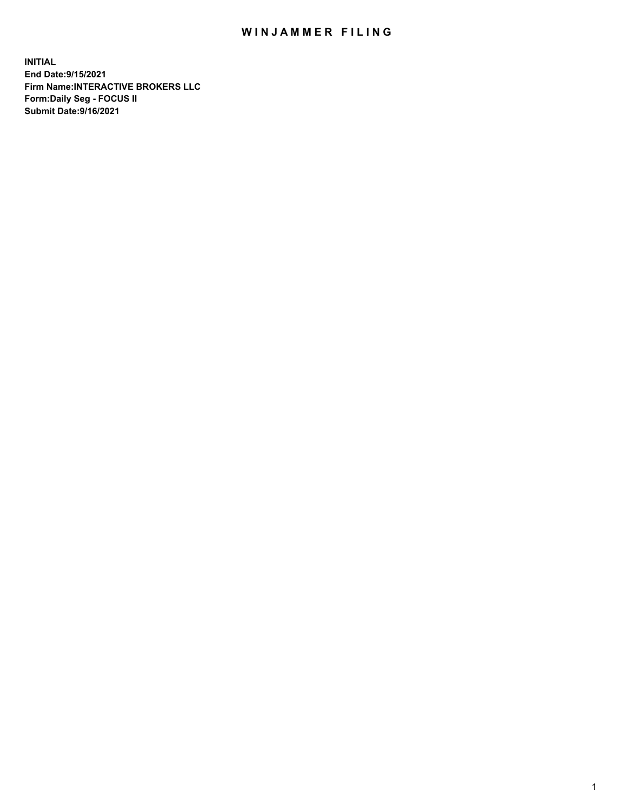## WIN JAMMER FILING

**INITIAL End Date:9/15/2021 Firm Name:INTERACTIVE BROKERS LLC Form:Daily Seg - FOCUS II Submit Date:9/16/2021**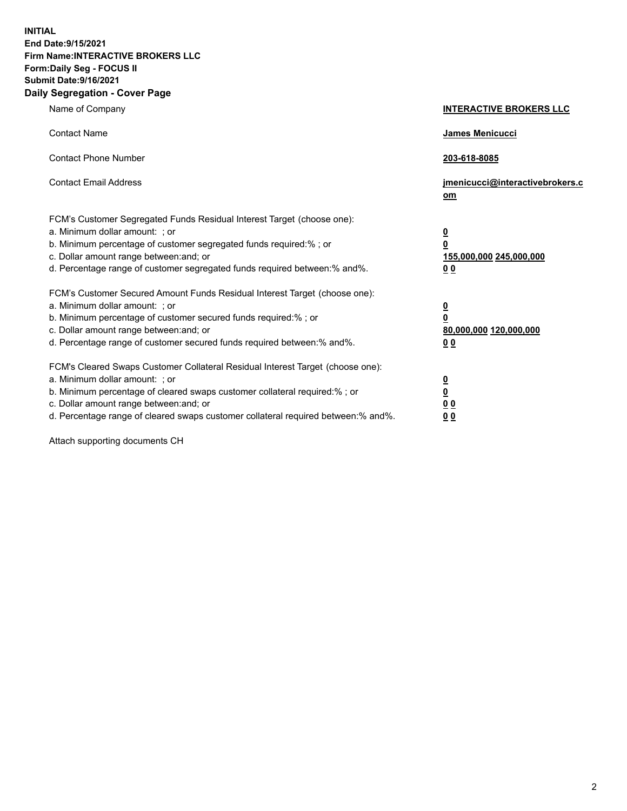**INITIAL End Date:9/15/2021 Firm Name:INTERACTIVE BROKERS LLC Form:Daily Seg - FOCUS II Submit Date:9/16/2021 Daily Segregation - Cover Page**

| Name of Company                                                                                                                                                                                                                                                                                                               | <b>INTERACTIVE BROKERS LLC</b>                                                            |
|-------------------------------------------------------------------------------------------------------------------------------------------------------------------------------------------------------------------------------------------------------------------------------------------------------------------------------|-------------------------------------------------------------------------------------------|
| <b>Contact Name</b>                                                                                                                                                                                                                                                                                                           | James Menicucci                                                                           |
| <b>Contact Phone Number</b>                                                                                                                                                                                                                                                                                                   | 203-618-8085                                                                              |
| <b>Contact Email Address</b>                                                                                                                                                                                                                                                                                                  | jmenicucci@interactivebrokers.c<br>$om$                                                   |
| FCM's Customer Segregated Funds Residual Interest Target (choose one):<br>a. Minimum dollar amount: ; or<br>b. Minimum percentage of customer segregated funds required:% ; or<br>c. Dollar amount range between: and; or<br>d. Percentage range of customer segregated funds required between: % and %.                      | <u>0</u><br>0<br>155,000,000 245,000,000<br>0 <sub>0</sub>                                |
| FCM's Customer Secured Amount Funds Residual Interest Target (choose one):<br>a. Minimum dollar amount: ; or<br>b. Minimum percentage of customer secured funds required:%; or<br>c. Dollar amount range between: and; or<br>d. Percentage range of customer secured funds required between:% and%.                           | <u>0</u><br>$\overline{\mathbf{0}}$<br>80,000,000 120,000,000<br>00                       |
| FCM's Cleared Swaps Customer Collateral Residual Interest Target (choose one):<br>a. Minimum dollar amount: ; or<br>b. Minimum percentage of cleared swaps customer collateral required:%; or<br>c. Dollar amount range between: and; or<br>d. Percentage range of cleared swaps customer collateral required between:% and%. | <u>0</u><br>$\underline{\mathbf{0}}$<br>$\underline{0}$ $\underline{0}$<br>0 <sub>0</sub> |

Attach supporting documents CH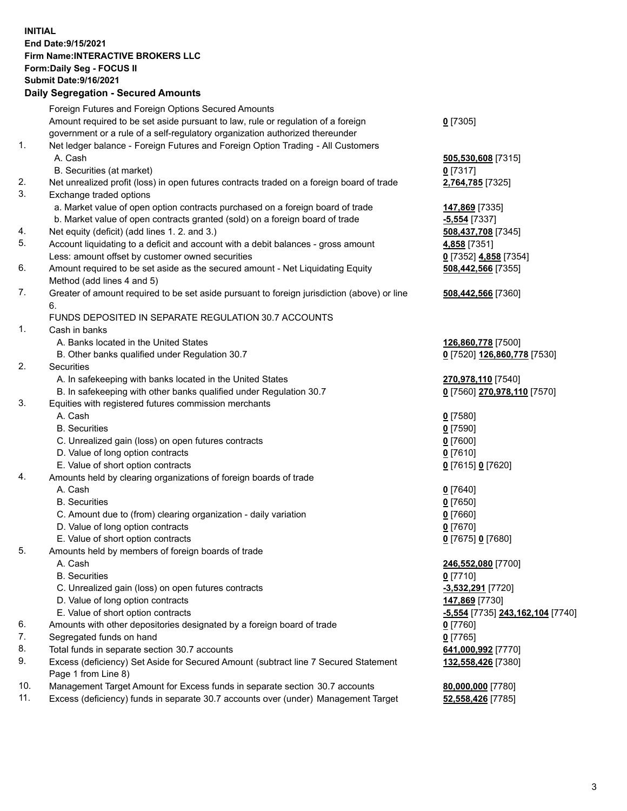## **INITIAL End Date:9/15/2021 Firm Name:INTERACTIVE BROKERS LLC Form:Daily Seg - FOCUS II Submit Date:9/16/2021**

|     | <b>Daily Segregation - Secured Amounts</b>                                                  |                                  |
|-----|---------------------------------------------------------------------------------------------|----------------------------------|
|     | Foreign Futures and Foreign Options Secured Amounts                                         |                                  |
|     | Amount required to be set aside pursuant to law, rule or regulation of a foreign            | $0$ [7305]                       |
|     | government or a rule of a self-regulatory organization authorized thereunder                |                                  |
| 1.  | Net ledger balance - Foreign Futures and Foreign Option Trading - All Customers             |                                  |
|     | A. Cash                                                                                     | 505,530,608 [7315]               |
|     | B. Securities (at market)                                                                   | $0$ [7317]                       |
| 2.  | Net unrealized profit (loss) in open futures contracts traded on a foreign board of trade   | 2,764,785 [7325]                 |
| 3.  | Exchange traded options                                                                     |                                  |
|     | a. Market value of open option contracts purchased on a foreign board of trade              | 147,869 [7335]                   |
|     | b. Market value of open contracts granted (sold) on a foreign board of trade                | $-5,554$ [7337]                  |
| 4.  | Net equity (deficit) (add lines 1. 2. and 3.)                                               | 508,437,708 [7345]               |
| 5.  | Account liquidating to a deficit and account with a debit balances - gross amount           | 4,858 [7351]                     |
|     | Less: amount offset by customer owned securities                                            | 0 [7352] 4,858 [7354]            |
| 6.  | Amount required to be set aside as the secured amount - Net Liquidating Equity              | 508,442,566 [7355]               |
|     | Method (add lines 4 and 5)                                                                  |                                  |
| 7.  | Greater of amount required to be set aside pursuant to foreign jurisdiction (above) or line | 508,442,566 [7360]               |
|     | 6.                                                                                          |                                  |
|     | FUNDS DEPOSITED IN SEPARATE REGULATION 30.7 ACCOUNTS                                        |                                  |
| 1.  | Cash in banks                                                                               |                                  |
|     | A. Banks located in the United States                                                       | 126,860,778 [7500]               |
|     | B. Other banks qualified under Regulation 30.7                                              | 0 [7520] 126,860,778 [7530]      |
| 2.  | Securities                                                                                  |                                  |
|     | A. In safekeeping with banks located in the United States                                   | 270,978,110 [7540]               |
|     | B. In safekeeping with other banks qualified under Regulation 30.7                          | 0 [7560] 270,978,110 [7570]      |
| 3.  | Equities with registered futures commission merchants                                       |                                  |
|     | A. Cash                                                                                     | $0$ [7580]                       |
|     | <b>B.</b> Securities                                                                        | $0$ [7590]                       |
|     | C. Unrealized gain (loss) on open futures contracts                                         | $0$ [7600]                       |
|     | D. Value of long option contracts                                                           | $0$ [7610]                       |
|     | E. Value of short option contracts                                                          | 0 [7615] 0 [7620]                |
| 4.  | Amounts held by clearing organizations of foreign boards of trade                           |                                  |
|     | A. Cash                                                                                     | $0$ [7640]                       |
|     | <b>B.</b> Securities                                                                        | $0$ [7650]                       |
|     | C. Amount due to (from) clearing organization - daily variation                             | $0$ [7660]                       |
|     | D. Value of long option contracts                                                           | $0$ [7670]                       |
|     | E. Value of short option contracts                                                          | 0 [7675] 0 [7680]                |
| 5.  | Amounts held by members of foreign boards of trade                                          |                                  |
|     | A. Cash                                                                                     | 246,552,080 [7700]               |
|     | <b>B.</b> Securities                                                                        | $0$ [7710]                       |
|     | C. Unrealized gain (loss) on open futures contracts                                         | -3,532,291 [7720]                |
|     | D. Value of long option contracts                                                           | 147,869 [7730]                   |
|     | E. Value of short option contracts                                                          | -5,554 [7735] 243,162,104 [7740] |
| 6.  | Amounts with other depositories designated by a foreign board of trade                      | $0$ [7760]                       |
| 7.  | Segregated funds on hand                                                                    | $0$ [7765]                       |
| 8.  | Total funds in separate section 30.7 accounts                                               | 641,000,992 [7770]               |
| 9.  | Excess (deficiency) Set Aside for Secured Amount (subtract line 7 Secured Statement         | 132,558,426 [7380]               |
|     | Page 1 from Line 8)                                                                         |                                  |
| 10. | Management Target Amount for Excess funds in separate section 30.7 accounts                 | 80,000,000 [7780]                |
| 11. | Excess (deficiency) funds in separate 30.7 accounts over (under) Management Target          | 52,558,426 [7785]                |
|     |                                                                                             |                                  |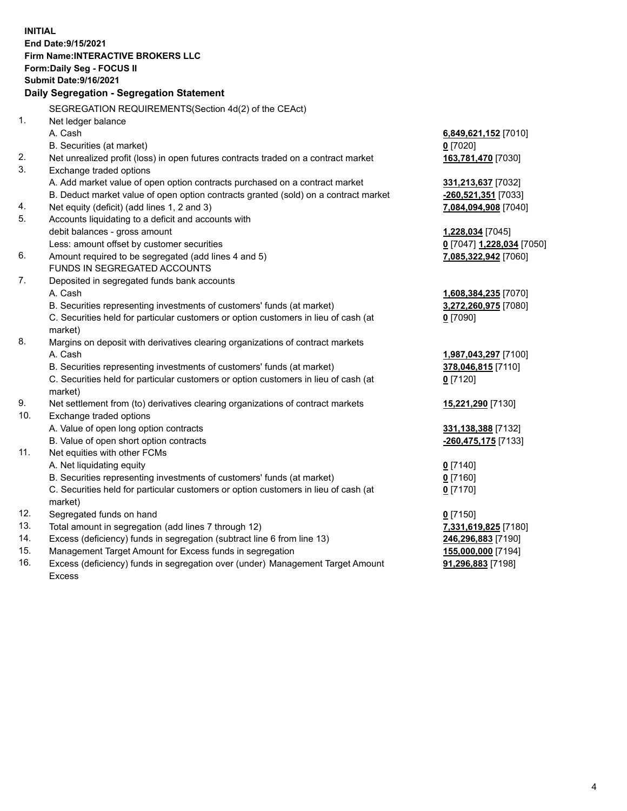**INITIAL End Date:9/15/2021 Firm Name:INTERACTIVE BROKERS LLC Form:Daily Seg - FOCUS II Submit Date:9/16/2021 Daily Segregation - Segregation Statement** SEGREGATION REQUIREMENTS(Section 4d(2) of the CEAct) 1. Net ledger balance A. Cash **6,849,621,152** [7010] B. Securities (at market) **0** [7020] 2. Net unrealized profit (loss) in open futures contracts traded on a contract market **163,781,470** [7030] 3. Exchange traded options A. Add market value of open option contracts purchased on a contract market **331,213,637** [7032] B. Deduct market value of open option contracts granted (sold) on a contract market **-260,521,351** [7033] 4. Net equity (deficit) (add lines 1, 2 and 3) **7,084,094,908** [7040] 5. Accounts liquidating to a deficit and accounts with debit balances - gross amount **1,228,034** [7045] Less: amount offset by customer securities **0** [7047] **1,228,034** [7050] 6. Amount required to be segregated (add lines 4 and 5) **7,085,322,942** [7060] FUNDS IN SEGREGATED ACCOUNTS 7. Deposited in segregated funds bank accounts A. Cash **1,608,384,235** [7070] B. Securities representing investments of customers' funds (at market) **3,272,260,975** [7080] C. Securities held for particular customers or option customers in lieu of cash (at market) **0** [7090] 8. Margins on deposit with derivatives clearing organizations of contract markets A. Cash **1,987,043,297** [7100] B. Securities representing investments of customers' funds (at market) **378,046,815** [7110] C. Securities held for particular customers or option customers in lieu of cash (at market) **0** [7120] 9. Net settlement from (to) derivatives clearing organizations of contract markets **15,221,290** [7130] 10. Exchange traded options A. Value of open long option contracts **331,138,388** [7132] B. Value of open short option contracts **-260,475,175** [7133] 11. Net equities with other FCMs A. Net liquidating equity **0** [7140] B. Securities representing investments of customers' funds (at market) **0** [7160] C. Securities held for particular customers or option customers in lieu of cash (at market) **0** [7170] 12. Segregated funds on hand **0** [7150] 13. Total amount in segregation (add lines 7 through 12) **7,331,619,825** [7180] 14. Excess (deficiency) funds in segregation (subtract line 6 from line 13) **246,296,883** [7190] 15. Management Target Amount for Excess funds in segregation **155,000,000** [7194] 16. Excess (deficiency) funds in segregation over (under) Management Target Amount **91,296,883** [7198]

Excess